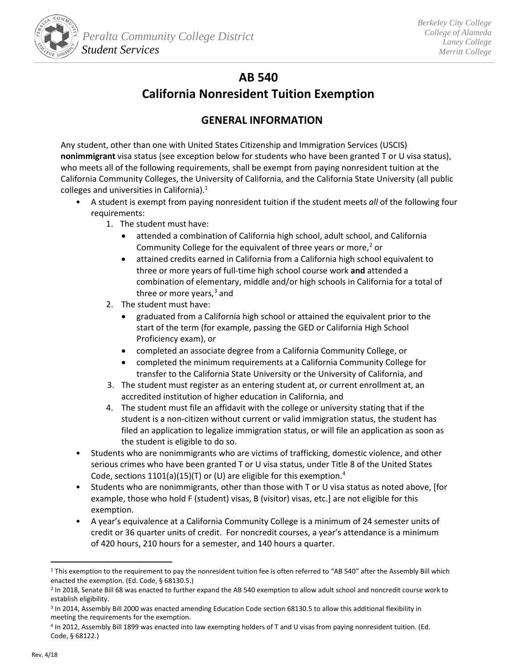

# **AB 540**

# **California Nonresident Tuition Exemption**

# **GENERAL INFORMATION**

Any student, other than one with United States Citizenship and Immigration Services (USCIS) **nonimmigrant** visa status (see exception below for students who have been granted T or U visa status), who meets all of the following requirements, shall be exempt from paying nonresident tuition at the California Community Colleges, the University of California, and the California State University (all public colleges and universities in California).[1](#page-0-0)

- A student is exempt from paying nonresident tuition if the student meets *all* of the following four requirements:
	- 1. The student must have:
		- attended a combination of California high school, adult school, and California Community College for the equivalent of three years or more, $2$  or
		- attained credits earned in California from a California high school equivalent to three or more years of full-time high school course work **and** attended a combination of elementary, middle and/or high schools in California for a total of three or more years,<sup>[3](#page-0-2)</sup> and
	- 2. The student must have:
		- graduated from a California high school or attained the equivalent prior to the start of the term (for example, passing the GED or California High School Proficiency exam), or
		- completed an associate degree from a California Community College, or
		- completed the minimum requirements at a California Community College for transfer to the California State University or the University of California, and
	- 3. The student must register as an entering student at, or current enrollment at, an accredited institution of higher education in California, and
	- 4. The student must file an affidavit with the college or university stating that if the student is a non-citizen without current or valid immigration status, the student has filed an application to legalize immigration status, or will file an application as soon as the student is eligible to do so.
- Students who are nonimmigrants who are victims of trafficking, domestic violence, and other serious crimes who have been granted T or U visa status, under Title 8 of the United States Code, sections 1101(a)(15)(T) or (U) are eligible for this exemption.<sup>[4](#page-0-3)</sup>
- Students who are nonimmigrants, other than those with T or U visa status as noted above, [for example, those who hold F (student) visas, B (visitor) visas, etc.] are not eligible for this exemption.
- A year's equivalence at a California Community College is a minimum of 24 semester units of credit or 36 quarter units of credit. For noncredit courses, a year's attendance is a minimum of 420 hours, 210 hours for a semester, and 140 hours a quarter.

<span id="page-0-0"></span><sup>&</sup>lt;sup>1</sup> This exemption to the requirement to pay the nonresident tuition fee is often referred to "AB 540" after the Assembly Bill which enacted the exemption. (Ed. Code, § 68130.5.)

<span id="page-0-1"></span><sup>2</sup> In 2018, Senate Bill 68 was enacted to further expand the AB 540 exemption to allow adult school and noncredit course work to establish eligibility.

<span id="page-0-2"></span><sup>3</sup> In 2014, Assembly Bill 2000 was enacted amending Education Code section 68130.5 to allow this additional flexibility in meeting the requirements for the exemption.

<span id="page-0-3"></span><sup>4</sup> In 2012, Assembly Bill 1899 was enacted into law exempting holders of T and U visas from paying nonresident tuition. (Ed. Code, § 68122.)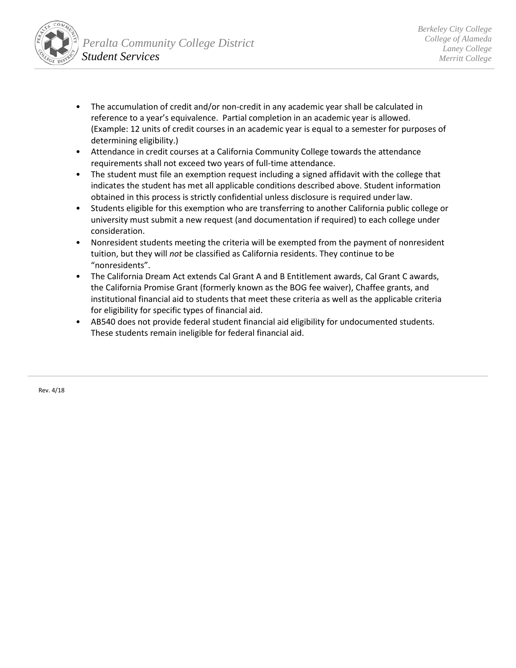

- The accumulation of credit and/or non-credit in any academic year shall be calculated in reference to a year's equivalence. Partial completion in an academic year is allowed. (Example: 12 units of credit courses in an academic year is equal to a semester for purposes of determining eligibility.)
- Attendance in credit courses at a California Community College towards the attendance requirements shall not exceed two years of full-time attendance.
- The student must file an exemption request including a signed affidavit with the college that indicates the student has met all applicable conditions described above. Student information obtained in this process is strictly confidential unless disclosure is required underlaw.
- Students eligible for this exemption who are transferring to another California public college or university must submit a new request (and documentation if required) to each college under consideration.
- Nonresident students meeting the criteria will be exempted from the payment of nonresident tuition, but they will *not* be classified as California residents. They continue to be "nonresidents".
- The California Dream Act extends Cal Grant A and B Entitlement awards, Cal Grant C awards, the California Promise Grant (formerly known as the BOG fee waiver), Chaffee grants, and institutional financial aid to students that meet these criteria as well as the applicable criteria for eligibility for specific types of financial aid.
- AB540 does not provide federal student financial aid eligibility for undocumented students. These students remain ineligible for federal financial aid.

Rev. 4/18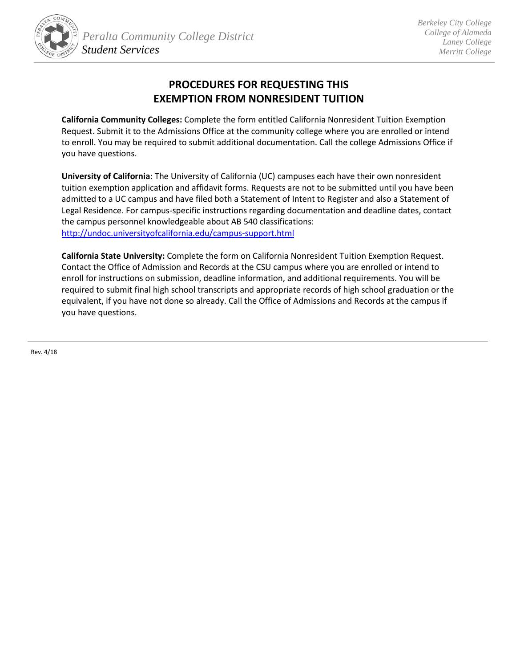

# **PROCEDURES FOR REQUESTING THIS EXEMPTION FROM NONRESIDENT TUITION**

**California Community Colleges:** Complete the form entitled California Nonresident Tuition Exemption Request. Submit it to the Admissions Office at the community college where you are enrolled or intend to enroll. You may be required to submit additional documentation. Call the college Admissions Office if you have questions.

**University of California**: The University of California (UC) campuses each have their own nonresident tuition exemption application and affi[d](#page-2-0)avit forms. Requests are not to be submitted until you have been admitted to a UC campus and have filed both a Statement of Intent to Register and also a Statement of Legal Residence. For campus-specific instructions regarding documentation and deadline dates, contact the campus personnel knowledgeable about AB 540 classifications: http://undoc.universityofcalifornia.edu/campus-support.html

**California State University:** Complete the form on California Nonresident Tuition Exemption Request. Contact the Office of Admission and Records at the CSU campus where you are enrolled or intend to enroll for instructions on submission, deadline information, and additional requirements. You will be required to submit final high school tran[sc](#page-2-1)ripts and appropriate records of high school graduation or the equivalent, if you have not done so already. Call the Office of Admissions and Records at the campus if you have questions.

<span id="page-2-1"></span><span id="page-2-0"></span>Rev. 4/18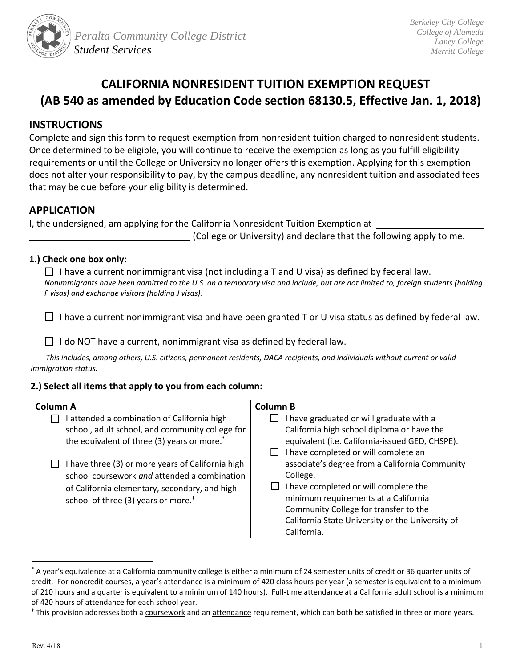

# **CALIFORNIA NONRESIDENT TUITION EXEMPTION REQUEST (AB 540 as amended by Education Code section 68130.5, Effective Jan. 1, 2018)**

## **INSTRUCTIONS**

Complete and sign this form to request exemption from nonresident tuition charged to nonresident students. Once determined to be eligible, you will continue to receive the exemption as long as you fulfill eligibility requirements or until the College or University no longer offers this exemption. Applying for this exemption does not alter your responsibility to pay, by the campus deadline, any nonresident tuition and associated fees that may be due before your eligibility is determined.

## **APPLICATION**

I, the undersigned, am applying for the California Nonresident Tuition Exemption at

(College or University) and declare that the following apply to me.

### **1.) Check one box only:**

 $\Box$  I have a current nonimmigrant visa (not including a T and U visa) as defined by federal law. *Nonimmigrants have been admitted to the U.S. on a temporary visa and include, but are not limited to, foreign students (holding F visas) and exchange visitors (holding J visas).*

 $\Box$  I have a current nonimmigrant visa and have been granted T or U visa status as defined by federal law.

 $\Box$  I do NOT have a current, nonimmigrant visa as defined by federal law.

*This includes, among others, U.S. citizens, permanent residents, DACA recipients, and individuals without current or valid immigration status.*

### **2.) Select all items that apply to you from each column:**

| <b>Column A</b>                                                                                                                                                                                       | <b>Column B</b>                                                                                                                                                                                                                                         |
|-------------------------------------------------------------------------------------------------------------------------------------------------------------------------------------------------------|---------------------------------------------------------------------------------------------------------------------------------------------------------------------------------------------------------------------------------------------------------|
| attended a combination of California high<br>school, adult school, and community college for<br>the equivalent of three (3) years or more. <sup>*</sup>                                               | I have graduated or will graduate with a<br>California high school diploma or have the<br>equivalent (i.e. California-issued GED, CHSPE).<br>I have completed or will complete an                                                                       |
| I have three (3) or more years of California high<br>school coursework and attended a combination<br>of California elementary, secondary, and high<br>school of three (3) years or more. <sup>†</sup> | associate's degree from a California Community<br>College.<br>I have completed or will complete the<br>minimum requirements at a California<br>Community College for transfer to the<br>California State University or the University of<br>California. |

<sup>\*</sup> A year's equivalence at a California community college is either a minimum of 24 semester units of credit or 36 quarter units of credit. For noncredit courses, a year's attendance is a minimum of 420 class hours per year (a semester is equivalent to a minimum of 210 hours and a quarter is equivalent to a minimum of 140 hours). Full-time attendance at a California adult school is a minimum of 420 hours of attendance for each school year.

<sup>&</sup>lt;sup>†</sup> This provision addresses both a coursework and an attendance requirement, which can both be satisfied in three or more years.